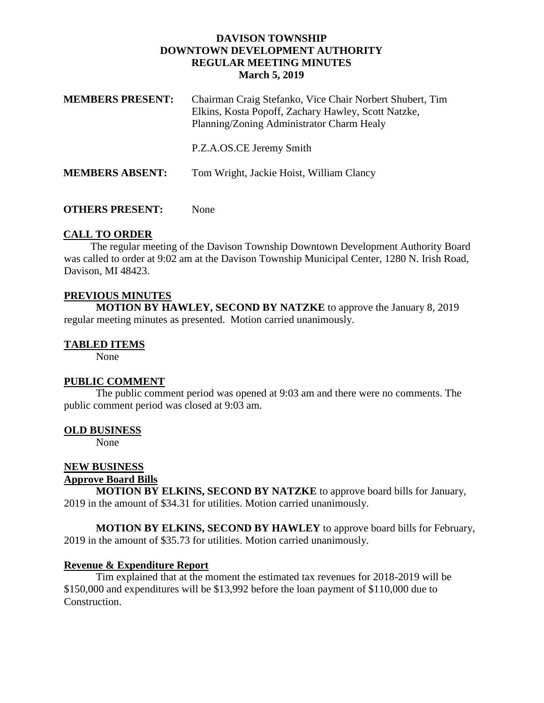### **DAVISON TOWNSHIP DOWNTOWN DEVELOPMENT AUTHORITY REGULAR MEETING MINUTES March 5, 2019**

| <b>MEMBERS PRESENT:</b> | Chairman Craig Stefanko, Vice Chair Norbert Shubert, Tim<br>Elkins, Kosta Popoff, Zachary Hawley, Scott Natzke,<br>Planning/Zoning Administrator Charm Healy |
|-------------------------|--------------------------------------------------------------------------------------------------------------------------------------------------------------|
|                         | P.Z.A.OS.CE Jeremy Smith                                                                                                                                     |
| <b>MEMBERS ABSENT:</b>  | Tom Wright, Jackie Hoist, William Clancy                                                                                                                     |

### **OTHERS PRESENT:** None

## **CALL TO ORDER**

 The regular meeting of the Davison Township Downtown Development Authority Board was called to order at 9:02 am at the Davison Township Municipal Center, 1280 N. Irish Road, Davison, MI 48423.

# **PREVIOUS MINUTES**

**MOTION BY HAWLEY, SECOND BY NATZKE** to approve the January 8, 2019 regular meeting minutes as presented. Motion carried unanimously.

### **TABLED ITEMS**

None

### **PUBLIC COMMENT**

The public comment period was opened at 9:03 am and there were no comments. The public comment period was closed at 9:03 am.

#### **OLD BUSINESS**

None

# **NEW BUSINESS**

# **Approve Board Bills**

**MOTION BY ELKINS, SECOND BY NATZKE** to approve board bills for January, 2019 in the amount of \$34.31 for utilities. Motion carried unanimously.

**MOTION BY ELKINS, SECOND BY HAWLEY** to approve board bills for February, 2019 in the amount of \$35.73 for utilities. Motion carried unanimously.

### **Revenue & Expenditure Report**

Tim explained that at the moment the estimated tax revenues for 2018-2019 will be \$150,000 and expenditures will be \$13,992 before the loan payment of \$110,000 due to Construction.